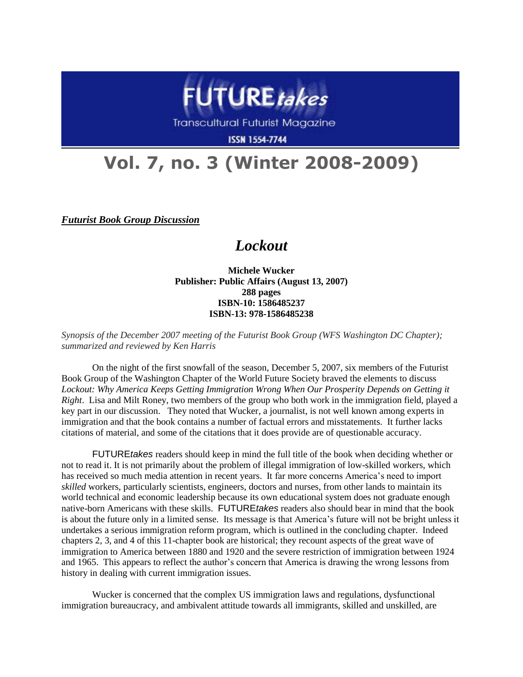

**Transcultural Futurist Magazine** 

**ISSN 1554-7744** 

## **Vol. 7, no. 3 (Winter 2008-2009)**

*Futurist Book Group Discussion*

## *Lockout*

**Michele Wucker Publisher: Public Affairs (August 13, 2007) 288 pages ISBN-10: 1586485237 ISBN-13: 978-1586485238**

*Synopsis of the December 2007 meeting of the Futurist Book Group (WFS Washington DC Chapter); summarized and reviewed by Ken Harris*

On the night of the first snowfall of the season, December 5, 2007, six members of the Futurist Book Group of the Washington Chapter of the World Future Society braved the elements to discuss Lockout: Why America Keeps Getting Immigration Wrong When Our Prosperity Depends on Getting it *Right*. Lisa and Milt Roney, two members of the group who both work in the immigration field, played a key part in our discussion. They noted that Wucker, a journalist, is not well known among experts in immigration and that the book contains a number of factual errors and misstatements. It further lacks citations of material, and some of the citations that it does provide are of questionable accuracy.

FUTURE*takes* readers should keep in mind the full title of the book when deciding whether or not to read it. It is not primarily about the problem of illegal immigration of low-skilled workers, which has received so much media attention in recent years. It far more concerns America's need to import *skilled* workers, particularly scientists, engineers, doctors and nurses, from other lands to maintain its world technical and economic leadership because its own educational system does not graduate enough native-born Americans with these skills. FUTURE*takes* readers also should bear in mind that the book is about the future only in a limited sense. Its message is that America"s future will not be bright unless it undertakes a serious immigration reform program, which is outlined in the concluding chapter. Indeed chapters 2, 3, and 4 of this 11-chapter book are historical; they recount aspects of the great wave of immigration to America between 1880 and 1920 and the severe restriction of immigration between 1924 and 1965. This appears to reflect the author"s concern that America is drawing the wrong lessons from history in dealing with current immigration issues.

Wucker is concerned that the complex US immigration laws and regulations, dysfunctional immigration bureaucracy, and ambivalent attitude towards all immigrants, skilled and unskilled, are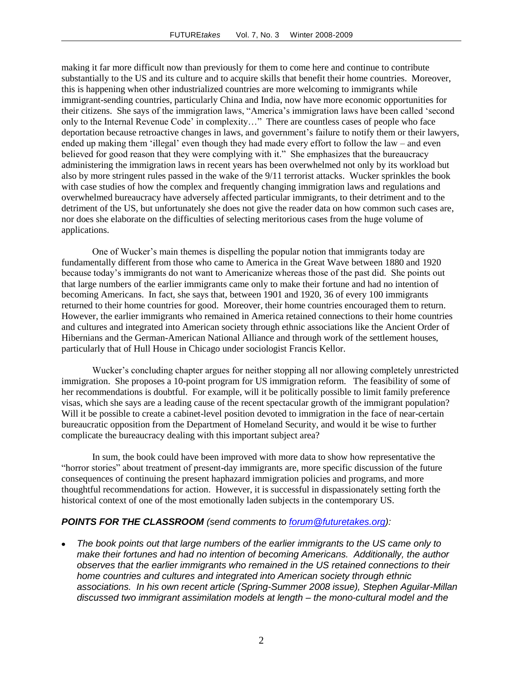making it far more difficult now than previously for them to come here and continue to contribute substantially to the US and its culture and to acquire skills that benefit their home countries. Moreover, this is happening when other industrialized countries are more welcoming to immigrants while immigrant-sending countries, particularly China and India, now have more economic opportunities for their citizens. She says of the immigration laws, "America"s immigration laws have been called "second only to the Internal Revenue Code' in complexity..." There are countless cases of people who face deportation because retroactive changes in laws, and government's failure to notify them or their lawyers, ended up making them 'illegal' even though they had made every effort to follow the law – and even believed for good reason that they were complying with it." She emphasizes that the bureaucracy administering the immigration laws in recent years has been overwhelmed not only by its workload but also by more stringent rules passed in the wake of the 9/11 terrorist attacks. Wucker sprinkles the book with case studies of how the complex and frequently changing immigration laws and regulations and overwhelmed bureaucracy have adversely affected particular immigrants, to their detriment and to the detriment of the US, but unfortunately she does not give the reader data on how common such cases are, nor does she elaborate on the difficulties of selecting meritorious cases from the huge volume of applications.

One of Wucker"s main themes is dispelling the popular notion that immigrants today are fundamentally different from those who came to America in the Great Wave between 1880 and 1920 because today"s immigrants do not want to Americanize whereas those of the past did. She points out that large numbers of the earlier immigrants came only to make their fortune and had no intention of becoming Americans. In fact, she says that, between 1901 and 1920, 36 of every 100 immigrants returned to their home countries for good. Moreover, their home countries encouraged them to return. However, the earlier immigrants who remained in America retained connections to their home countries and cultures and integrated into American society through ethnic associations like the Ancient Order of Hibernians and the German-American National Alliance and through work of the settlement houses, particularly that of Hull House in Chicago under sociologist Francis Kellor.

Wucker"s concluding chapter argues for neither stopping all nor allowing completely unrestricted immigration. She proposes a 10-point program for US immigration reform. The feasibility of some of her recommendations is doubtful. For example, will it be politically possible to limit family preference visas, which she says are a leading cause of the recent spectacular growth of the immigrant population? Will it be possible to create a cabinet-level position devoted to immigration in the face of near-certain bureaucratic opposition from the Department of Homeland Security, and would it be wise to further complicate the bureaucracy dealing with this important subject area?

In sum, the book could have been improved with more data to show how representative the "horror stories" about treatment of present-day immigrants are, more specific discussion of the future consequences of continuing the present haphazard immigration policies and programs, and more thoughtful recommendations for action. However, it is successful in dispassionately setting forth the historical context of one of the most emotionally laden subjects in the contemporary US.

## *POINTS FOR THE CLASSROOM (send comments to [forum@futuretakes.org\)](mailto:forum@futuretakes.org):*

*The book points out that large numbers of the earlier immigrants to the US came only to make their fortunes and had no intention of becoming Americans. Additionally, the author observes that the earlier immigrants who remained in the US retained connections to their home countries and cultures and integrated into American society through ethnic associations. In his own recent article (Spring-Summer 2008 issue), Stephen Aguilar-Millan discussed two immigrant assimilation models at length – the mono-cultural model and the*